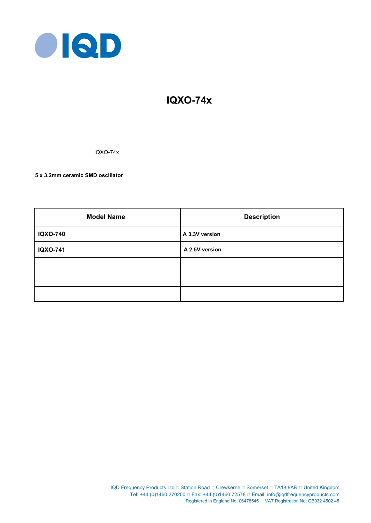

# **IQXO-74x**

IQXO-74x

**5 x 3.2mm ceramic SMD oscillator**

| <b>Model Name</b> | <b>Description</b> |  |  |
|-------------------|--------------------|--|--|
| <b>IQXO-740</b>   | A 3.3V version     |  |  |
| <b>IQXO-741</b>   | A 2.5V version     |  |  |
|                   |                    |  |  |
|                   |                    |  |  |
|                   |                    |  |  |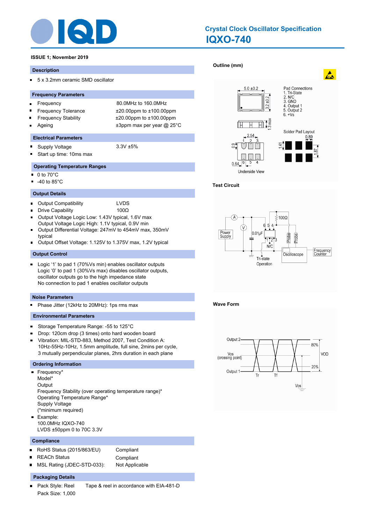

# **IQXO-740 Crystal Clock Oscillator Specification**

# **ISSUE 1; November 2019**

#### **Description**

 $\blacksquare$ 5 x 3.2mm ceramic SMD oscillator

#### **Frequency Parameters**

- Frequency 80.0MHz to 160.0MHz  $\blacksquare$
- 
- 
- 

Frequency Tolerance ±20.00ppm to ±100.00ppm Frequency Stability ±20.00ppm to ±100.00ppm Ageing  $\qquad \qquad \pm 3$ ppm max per year @ 25°C

# **Electrical Parameters**

- Supply Voltage 3.3V ±5%  $\blacksquare$
- Start up time: 10ms max n,

# **Operating Temperature Ranges**

- $\blacksquare$ 0 to 70°C
- -40 to 85°C

# **Output Details**

- Output Compatibility LVDS  $\blacksquare$
- × Drive Capability 100Ω
- Output Voltage Logic Low: 1.43V typical, 1.6V max  $\blacksquare$
- Output Voltage Logic High: 1.1V typical, 0.9V min Output Differential Voltage: 247mV to 454mV max, 350mV п
- typical
- Output Offset Voltage: 1.125V to 1.375V max, 1.2V typical

#### **Output Control**

Logic '1' to pad 1 (70%Vs min) enables oscillator outputs  $\blacksquare$ Logic '0' to pad 1 (30%Vs max) disables oscillator outputs, oscillator outputs go to the high impedance state No connection to pad 1 enables oscillator outputs

# **Noise Parameters**

Phase Jitter (12kHz to 20MHz): 1ps rms max .

# **Environmental Parameters**

- $\blacksquare$ Storage Temperature Range: -55 to 125°C
- $\blacksquare$ Drop: 120cm drop (3 times) onto hard wooden board
- $\blacksquare$ Vibration: MIL-STD-883, Method 2007, Test Condition A: 10Hz-55Hz-10Hz, 1.5mm amplitude, full sine, 2mins per cycle, 3 mutually perpendicular planes, 2hrs duration in each plane

#### **Ordering Information**

- Frequency\* Model\* **Output** Frequency Stability (over operating temperature range)\* Operating Temperature Range\* Supply Voltage (\*minimum required) m. Example: 100.0MHz IQXO-740
	- LVDS ±50ppm 0 to 70C 3.3V

# **Compliance**

RoHS Status (2015/863/EU) Compliant  $\blacksquare$ REACh Status **Compliant** MSL Rating (JDEC-STD-033): Not Applicable ٠

# **Packaging Details**

Pack Style: Reel Tape & reel in accordance with EIA-481-D  $\blacksquare$ Pack Size: 1,000

**[Outline \(mm\)](http://www.iqdfrequencyproducts.com/products/search/?type=crystal-clock-oscillator&model=IQXO-740)** 



# **Test Circuit**



# **Wave Form**

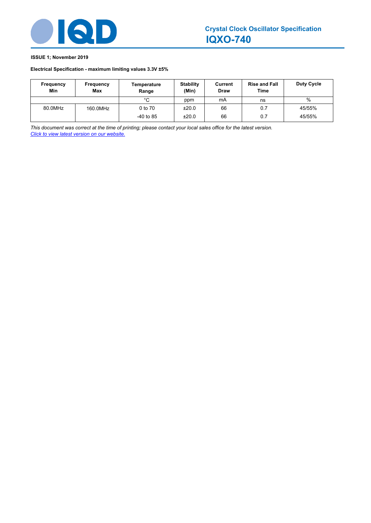

# **ISSUE 1; November 2019**

# **Electrical Specification - maximum limiting values 3.3V ±5%**

| <b>Frequency</b><br>Min | Frequency<br><b>Max</b> | Temperature<br>Range | <b>Stability</b><br>(Min) | Current<br><b>Draw</b> | <b>Rise and Fall</b><br>Time | <b>Duty Cycle</b> |
|-------------------------|-------------------------|----------------------|---------------------------|------------------------|------------------------------|-------------------|
|                         |                         | °C                   | ppm                       | mA                     | ns                           | %                 |
| 80.0MHz                 | 160.0MHz                | 0 to 70              | ±20.0                     | 66                     | 0.7                          | 45/55%            |
|                         |                         | $-40$ to 85          | ±20.0                     | 66                     | 0.7                          | 45/55%            |

*This document was correct at the time of printing; please contact your local sales office for the latest version. Click to view latest version on our website.*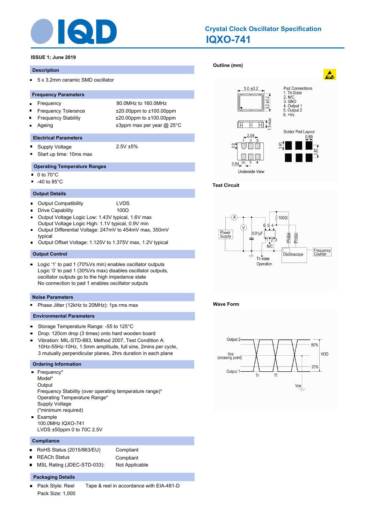

# **IQXO-741 Crystal Clock Oscillator Specification**

# **ISSUE 1; June 2019**

#### **Description**

 $\blacksquare$ 5 x 3.2mm ceramic SMD oscillator

#### **Frequency Parameters**

- Frequency 80.0MHz to 160.0MHz  $\blacksquare$
- 
- 
- 

Frequency Tolerance ±20.00ppm to ±100.00ppm Frequency Stability ±20.00ppm to ±100.00ppm Ageing  $\qquad \qquad \pm 3$ ppm max per year @ 25°C

# **Electrical Parameters**

- Supply Voltage 2.5V ±5%  $\blacksquare$
- Start up time: 10ms max n,

# **Operating Temperature Ranges**

- $\blacksquare$ 0 to 70°C
- -40 to 85°C

# **Output Details**

- Output Compatibility LVDS  $\blacksquare$
- × Drive Capability 100Ω
- Output Voltage Logic Low: 1.43V typical, 1.6V max  $\blacksquare$
- Output Voltage Logic High: 1.1V typical, 0.9V min
- Output Differential Voltage: 247mV to 454mV max, 350mV п typical
- Output Offset Voltage: 1.125V to 1.375V max, 1.2V typical

# **Output Control**

Logic '1' to pad 1 (70%Vs min) enables oscillator outputs  $\blacksquare$ Logic '0' to pad 1 (30%Vs max) disables oscillator outputs, oscillator outputs go to the high impedance state No connection to pad 1 enables oscillator outputs

# **Noise Parameters**

Phase Jitter (12kHz to 20MHz): 1ps rms max .

# **Environmental Parameters**

- $\blacksquare$ Storage Temperature Range: -55 to 125°C
- $\blacksquare$ Drop: 120cm drop (3 times) onto hard wooden board
- $\blacksquare$ Vibration: MIL-STD-883, Method 2007, Test Condition A: 10Hz-55Hz-10Hz, 1.5mm amplitude, full sine, 2mins per cycle, 3 mutually perpendicular planes, 2hrs duration in each plane

#### **Ordering Information**

- Frequency<sup>\*</sup> Model\* **Output** Frequency Stability (over operating temperature range)\* Operating Temperature Range\* Supply Voltage (\*minimum required) m. Example 100.0MHz IQXO-741
	- LVDS ±50ppm 0 to 70C 2.5V

# **Compliance**

RoHS Status (2015/863/EU) Compliant  $\blacksquare$ REACh Status **Compliant** MSL Rating (JDEC-STD-033): Not Applicable ٠

# **Packaging Details**

Pack Style: Reel Tape & reel in accordance with EIA-481-D  $\blacksquare$ Pack Size: 1,000

# **[Outline \(mm\)](http://www.iqdfrequencyproducts.com/products/search/?type=crystal-clock-oscillator&model=IQXO-741)**



# **Test Circuit**



# **Wave Form**